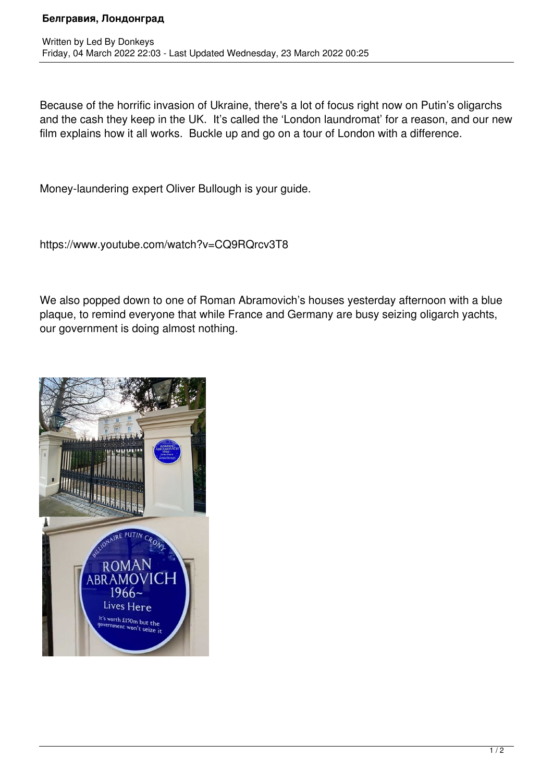## **Белгравия, Лондонград**

Because of the horrific invasion of Ukraine, there's a lot of focus right now on Putin's oligarchs and the cash they keep in the UK. It's called the 'London laundromat' for a reason, and our new film explains how it all works. Buckle up and go on a tour of London with a difference.

Money-laundering expert Oliver Bullough is your guide.

https://www.youtube.com/watch?v=CQ9RQrcv3T8

We also popped down to one of Roman Abramovich's houses yesterday afternoon with a blue plaque, to remind everyone that while France and Germany are busy seizing oligarch yachts, our government is doing almost nothing.